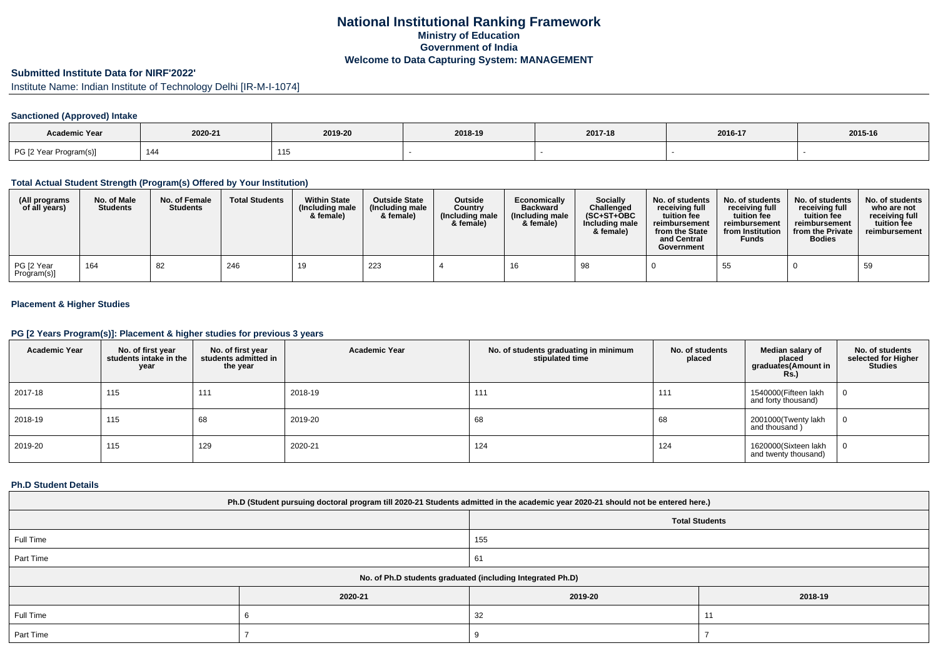# **National Institutional Ranking FrameworkMinistry of Education Government of IndiaWelcome to Data Capturing System: MANAGEMENT**

# **Submitted Institute Data for NIRF'2022'**

Institute Name: Indian Institute of Technology Delhi [IR-M-I-1074]

# **Sanctioned (Approved) Intake**

| <b>Academic Year</b>   |         |                   |         |         |         |         |
|------------------------|---------|-------------------|---------|---------|---------|---------|
|                        | 2020-21 | 2019-20           | 2018-19 | 2017-18 | 2016-17 | 2015-16 |
| PG [2 Year Program(s)] | 144     | <b>445</b><br>טוו |         |         |         |         |

#### **Total Actual Student Strength (Program(s) Offered by Your Institution)**

| (All programs<br>of all years) | No. of Male<br><b>Students</b> | No. of Female<br><b>Students</b> | <b>Total Students</b> | <b>Within State</b><br>(Including male<br>& female) | <b>Outside State</b><br>(Including male<br>& female) | Outside<br>Country<br>(Including male<br>& female) | Economically<br><b>Backward</b><br>(Including male<br>& female) | Socially<br>Challenged<br>$(SC+ST+OBC)$<br>Including male<br>& female) | No. of students<br>receiving full<br>tuition fee<br>reimbursement<br>from the State<br>and Central<br>Government | No. of students<br>receiving full<br>tuition fee<br>reimbursement<br>from Institution<br><b>Funds</b> | No. of students<br>receiving full<br>tuition fee<br>reimbursement<br>from the Private<br><b>Bodies</b> | No. of students<br>who are not<br>receiving full<br>tuition fee<br>reimbursement |
|--------------------------------|--------------------------------|----------------------------------|-----------------------|-----------------------------------------------------|------------------------------------------------------|----------------------------------------------------|-----------------------------------------------------------------|------------------------------------------------------------------------|------------------------------------------------------------------------------------------------------------------|-------------------------------------------------------------------------------------------------------|--------------------------------------------------------------------------------------------------------|----------------------------------------------------------------------------------|
| PG [2 Year<br>Program(s)]      | 164                            | 82                               | 246                   |                                                     | 223                                                  |                                                    |                                                                 | 98                                                                     |                                                                                                                  | 55                                                                                                    |                                                                                                        | 59                                                                               |

# **Placement & Higher Studies**

### **PG [2 Years Program(s)]: Placement & higher studies for previous 3 years**

| <b>Academic Year</b> | No. of first year<br>students intake in the<br>year | No. of first year<br>students admitted in<br>the year | <b>Academic Year</b> | No. of students graduating in minimum<br>stipulated time | No. of students<br>placed | Median salary of<br>placed<br>graduates(Amount in<br><b>Rs.</b> ) | No. of students<br>selected for Higher<br><b>Studies</b> |
|----------------------|-----------------------------------------------------|-------------------------------------------------------|----------------------|----------------------------------------------------------|---------------------------|-------------------------------------------------------------------|----------------------------------------------------------|
| 2017-18              | 115                                                 | 111                                                   | 2018-19              | 111                                                      | 111                       | 1540000(Fifteen lakh<br>and forty thousand)                       | U.                                                       |
| 2018-19              | 115                                                 | 68                                                    | 2019-20              | 68                                                       | 68                        | 2001000(Twenty lakh<br>and thousand)                              |                                                          |
| 2019-20              | 115                                                 | 129                                                   | 2020-21              | 124                                                      | 124                       | 1620000(Sixteen lakh<br>and twenty thousand)                      |                                                          |

#### **Ph.D Student Details**

| Ph.D (Student pursuing doctoral program till 2020-21 Students admitted in the academic year 2020-21 should not be entered here.) |                                                            |                       |         |  |  |  |  |
|----------------------------------------------------------------------------------------------------------------------------------|------------------------------------------------------------|-----------------------|---------|--|--|--|--|
|                                                                                                                                  |                                                            | <b>Total Students</b> |         |  |  |  |  |
| Full Time                                                                                                                        |                                                            | 155                   |         |  |  |  |  |
| Part Time                                                                                                                        |                                                            | 61                    |         |  |  |  |  |
|                                                                                                                                  | No. of Ph.D students graduated (including Integrated Ph.D) |                       |         |  |  |  |  |
|                                                                                                                                  | 2020-21                                                    | 2019-20               | 2018-19 |  |  |  |  |
| Full Time                                                                                                                        |                                                            | 32<br>11              |         |  |  |  |  |
| Part Time                                                                                                                        |                                                            |                       |         |  |  |  |  |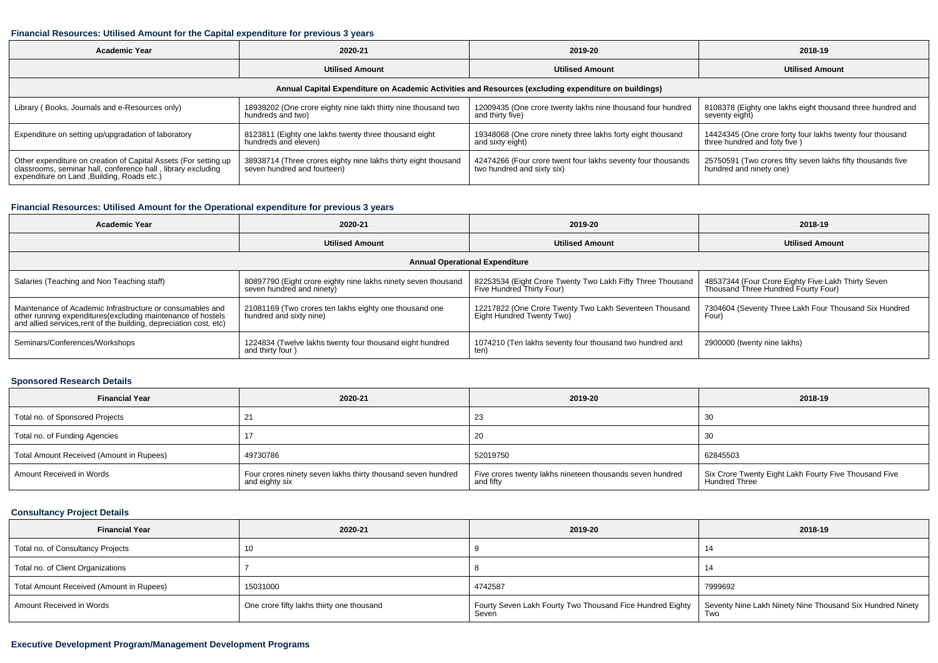### **Financial Resources: Utilised Amount for the Capital expenditure for previous 3 years**

| <b>Academic Year</b>                                                                                                                                                           | 2020-21                                                                                       |                                                                                                      | 2018-19                                                                                   |  |
|--------------------------------------------------------------------------------------------------------------------------------------------------------------------------------|-----------------------------------------------------------------------------------------------|------------------------------------------------------------------------------------------------------|-------------------------------------------------------------------------------------------|--|
|                                                                                                                                                                                | <b>Utilised Amount</b>                                                                        | <b>Utilised Amount</b>                                                                               | <b>Utilised Amount</b>                                                                    |  |
|                                                                                                                                                                                |                                                                                               | Annual Capital Expenditure on Academic Activities and Resources (excluding expenditure on buildings) |                                                                                           |  |
| Library (Books, Journals and e-Resources only)                                                                                                                                 | 18939202 (One crore eighty nine lakh thirty nine thousand two<br>hundreds and two)            | 12009435 (One crore twenty lakhs nine thousand four hundred<br>and thirty five)                      | 8108378 (Eighty one lakhs eight thousand three hundred and<br>seventy eight)              |  |
| Expenditure on setting up/upgradation of laboratory                                                                                                                            | 8123811 (Eighty one lakhs twenty three thousand eight<br>hundreds and eleven)                 | 19348068 (One crore ninety three lakhs forty eight thousand<br>and sixty eight)                      | 14424345 (One crore forty four lakhs twenty four thousand<br>three hundred and foty five) |  |
| Other expenditure on creation of Capital Assets (For setting up<br>classrooms, seminar hall, conference hall, library excluding<br>expenditure on Land , Building, Roads etc.) | 38938714 (Three crores eighty nine lakhs thirty eight thousand<br>seven hundred and fourteen) | 42474266 (Four crore twent four lakhs seventy four thousands<br>two hundred and sixty six)           | 25750591 (Two crores fifty seven lakhs fifty thousands five<br>hundred and ninety one)    |  |

# **Financial Resources: Utilised Amount for the Operational expenditure for previous 3 years**

| <b>Academic Year</b>                                                                                                                                                                           | 2020-21                                                                                    | 2019-20                                                                                 | 2018-19                                                                                   |  |  |  |  |  |  |  |
|------------------------------------------------------------------------------------------------------------------------------------------------------------------------------------------------|--------------------------------------------------------------------------------------------|-----------------------------------------------------------------------------------------|-------------------------------------------------------------------------------------------|--|--|--|--|--|--|--|
|                                                                                                                                                                                                | <b>Utilised Amount</b>                                                                     |                                                                                         | <b>Utilised Amount</b>                                                                    |  |  |  |  |  |  |  |
|                                                                                                                                                                                                | <b>Annual Operational Expenditure</b>                                                      |                                                                                         |                                                                                           |  |  |  |  |  |  |  |
| Salaries (Teaching and Non Teaching staff)                                                                                                                                                     | 80897790 (Eight crore eighty nine lakhs ninety seven thousand<br>seven hundred and ninety) | 82253534 (Eight Crore Twenty Two Lakh Fifty Three Thousand<br>Five Hundred Thirty Four) | 48537344 (Four Crore Eighty Five Lakh Thirty Seven<br>Thousand Three Hundred Fourty Four) |  |  |  |  |  |  |  |
| Maintenance of Academic Infrastructure or consumables and<br>other running expenditures(excluding maintenance of hostels<br>and allied services, rent of the building, depreciation cost, etc) | 21081169 (Two crores ten lakhs eighty one thousand one<br>hundred and sixty nine)          | 12217822 (One Crore Twenty Two Lakh Seventeen Thousand<br>Eight Hundred Twenty Two)     | 7304604 (Seventy Three Lakh Four Thousand Six Hundred<br>Four)                            |  |  |  |  |  |  |  |
| Seminars/Conferences/Workshops                                                                                                                                                                 | 1224834 (Twelve lakhs twenty four thousand eight hundred<br>and thirty four)               | 1074210 (Ten lakhs seventy four thousand two hundred and<br>ten)                        | 2900000 (twenty nine lakhs)                                                               |  |  |  |  |  |  |  |

## **Sponsored Research Details**

| <b>Financial Year</b>                    | 2020-21                                                                        | 2019-20                                                                | 2018-19                                                                |
|------------------------------------------|--------------------------------------------------------------------------------|------------------------------------------------------------------------|------------------------------------------------------------------------|
| Total no. of Sponsored Projects          |                                                                                | 23                                                                     | 30                                                                     |
| Total no. of Funding Agencies            |                                                                                | 20                                                                     | 30                                                                     |
| Total Amount Received (Amount in Rupees) | 49730786                                                                       | 52019750                                                               | 62845503                                                               |
| Amount Received in Words                 | Four crores ninety seven lakhs thirty thousand seven hundred<br>and eighty six | Five crores twenty lakhs nineteen thousands seven hundred<br>and fifty | Six Crore Twenty Eight Lakh Fourty Five Thousand Five<br>Hundred Three |

# **Consultancy Project Details**

| <b>Financial Year</b>                    | 2020-21                                   | 2019-20 | 2018-19                                                                                                               |
|------------------------------------------|-------------------------------------------|---------|-----------------------------------------------------------------------------------------------------------------------|
| Total no. of Consultancy Projects        |                                           |         |                                                                                                                       |
| Total no. of Client Organizations        |                                           |         |                                                                                                                       |
| Total Amount Received (Amount in Rupees) | 15031000                                  | 4742587 | 7999692                                                                                                               |
| Amount Received in Words                 | One crore fifty lakhs thirty one thousand | Seven   | Fourty Seven Lakh Fourty Two Thousand Fice Hundred Eighty   Seventy Nine Lakh Ninety Nine Thousand Six Hundred Ninety |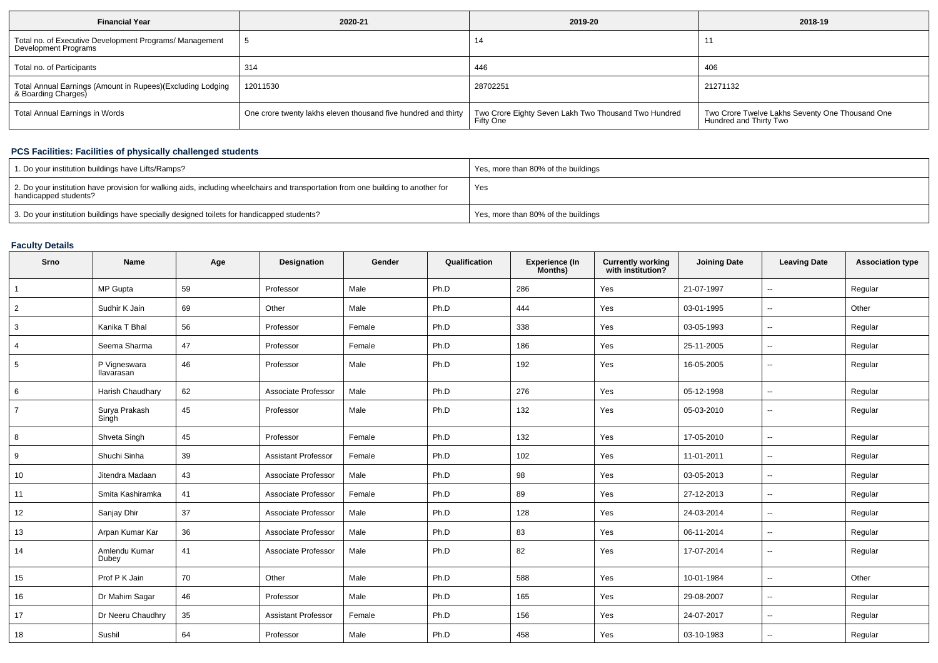| <b>Financial Year</b>                                                             | 2020-21                                                                                                               | 2019-20   | 2018-19                                                                   |
|-----------------------------------------------------------------------------------|-----------------------------------------------------------------------------------------------------------------------|-----------|---------------------------------------------------------------------------|
| Total no. of Executive Development Programs/ Management<br>Development Programs   |                                                                                                                       | 14        |                                                                           |
| Total no. of Participants                                                         | 314                                                                                                                   | 446       | 406                                                                       |
| Total Annual Earnings (Amount in Rupees)(Excluding Lodging<br>& Boarding Charges) | 12011530                                                                                                              | 28702251  | 21271132                                                                  |
| Total Annual Earnings in Words                                                    | One crore twenty lakhs eleven thousand five hundred and thirty   Two Crore Eighty Seven Lakh Two Thousand Two Hundred | Fifty One | Two Crore Twelve Lakhs Seventy One Thousand One<br>Hundred and Thirty Two |

# **PCS Facilities: Facilities of physically challenged students**

| 1. Do your institution buildings have Lifts/Ramps?                                                                                                         | Yes, more than 80% of the buildings |
|------------------------------------------------------------------------------------------------------------------------------------------------------------|-------------------------------------|
| 2. Do your institution have provision for walking aids, including wheelchairs and transportation from one building to another for<br>handicapped students? | Yes                                 |
| 3. Do your institution buildings have specially designed toilets for handicapped students?                                                                 | Yes, more than 80% of the buildings |

# **Faculty Details**

| Srno           | Name                       | Age | Designation                | Gender | Qualification | Experience (In<br>Months) | <b>Currently working</b><br>with institution? | <b>Joining Date</b> | <b>Leaving Date</b>      | <b>Association type</b> |
|----------------|----------------------------|-----|----------------------------|--------|---------------|---------------------------|-----------------------------------------------|---------------------|--------------------------|-------------------------|
| $\mathbf{1}$   | MP Gupta                   | 59  | Professor                  | Male   | Ph.D          | 286                       | Yes                                           | 21-07-1997          | $\overline{\phantom{a}}$ | Regular                 |
| $\overline{2}$ | Sudhir K Jain              | 69  | Other                      | Male   | Ph.D          | 444                       | Yes                                           | 03-01-1995          | $\overline{\phantom{a}}$ | Other                   |
| 3              | Kanika T Bhal              | 56  | Professor                  | Female | Ph.D          | 338                       | Yes                                           | 03-05-1993          | $\overline{\phantom{a}}$ | Regular                 |
| 4              | Seema Sharma               | 47  | Professor                  | Female | Ph.D          | 186                       | Yes                                           | 25-11-2005          | ⊷.                       | Regular                 |
| 5              | P Vigneswara<br>Ilavarasan | 46  | Professor                  | Male   | Ph.D          | 192                       | Yes                                           | 16-05-2005          | $\sim$                   | Regular                 |
| 6              | Harish Chaudhary           | 62  | Associate Professor        | Male   | Ph.D          | 276                       | Yes                                           | 05-12-1998          | $\overline{\phantom{a}}$ | Regular                 |
| $\overline{7}$ | Surya Prakash<br>Singh     | 45  | Professor                  | Male   | Ph.D          | 132                       | Yes                                           | 05-03-2010          | −−                       | Regular                 |
| 8              | Shveta Singh               | 45  | Professor                  | Female | Ph.D          | 132                       | Yes                                           | 17-05-2010          | $\overline{\phantom{a}}$ | Regular                 |
| 9              | Shuchi Sinha               | 39  | <b>Assistant Professor</b> | Female | Ph.D          | 102                       | Yes                                           | 11-01-2011          | $\overline{\phantom{a}}$ | Regular                 |
| 10             | Jitendra Madaan            | 43  | Associate Professor        | Male   | Ph.D          | 98                        | Yes                                           | 03-05-2013          | $\overline{\phantom{a}}$ | Regular                 |
| 11             | Smita Kashiramka           | 41  | Associate Professor        | Female | Ph.D          | 89                        | Yes                                           | 27-12-2013          | $\overline{\phantom{a}}$ | Regular                 |
| 12             | Sanjay Dhir                | 37  | Associate Professor        | Male   | Ph.D          | 128                       | Yes                                           | 24-03-2014          | $\overline{\phantom{a}}$ | Regular                 |
| 13             | Arpan Kumar Kar            | 36  | Associate Professor        | Male   | Ph.D          | 83                        | Yes                                           | 06-11-2014          | $\sim$                   | Regular                 |
| 14             | Amlendu Kumar<br>Dubey     | 41  | Associate Professor        | Male   | Ph.D          | 82                        | Yes                                           | 17-07-2014          | −−                       | Regular                 |
| 15             | Prof P K Jain              | 70  | Other                      | Male   | Ph.D          | 588                       | Yes                                           | 10-01-1984          | $\overline{\phantom{a}}$ | Other                   |
| 16             | Dr Mahim Sagar             | 46  | Professor                  | Male   | Ph.D          | 165                       | Yes                                           | 29-08-2007          | $\overline{\phantom{a}}$ | Regular                 |
| 17             | Dr Neeru Chaudhry          | 35  | <b>Assistant Professor</b> | Female | Ph.D          | 156                       | Yes                                           | 24-07-2017          | $\sim$                   | Regular                 |
| 18             | Sushil                     | 64  | Professor                  | Male   | Ph.D          | 458                       | Yes                                           | 03-10-1983          | $\overline{\phantom{a}}$ | Regular                 |